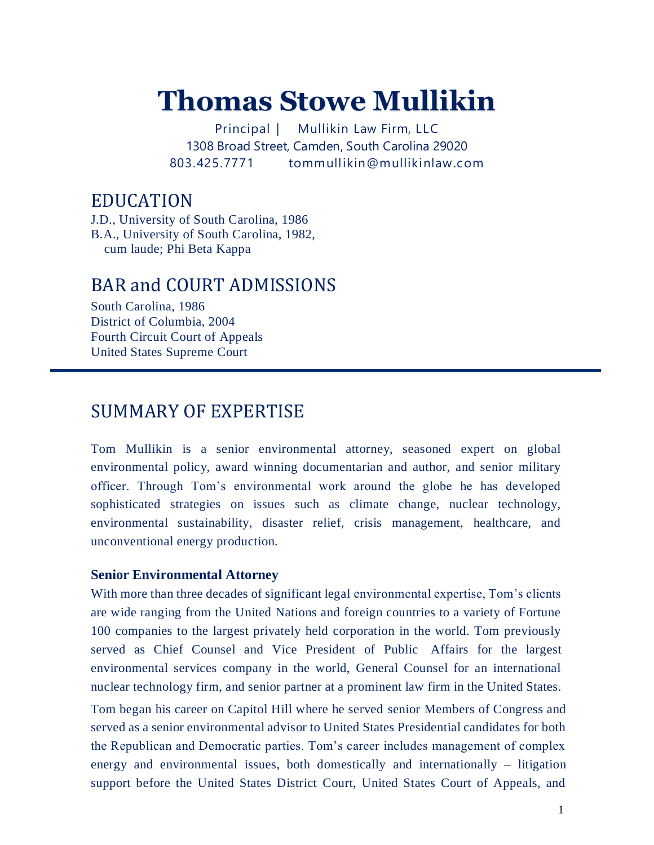# **Thomas Stowe Mullikin**

Principal | Mullikin Law Firm, LLC 1308 Broad Street, Camden, South Carolina 29020 803.425.7771 tommullikin@mullikinlaw.com

### EDUCATION

J.D., University of South Carolina, 1986 B.A., University of South Carolina, 1982, cum laude; Phi Beta Kappa

### BAR and COURT ADMISSIONS

South Carolina, 1986 District of Columbia, 2004 Fourth Circuit Court of Appeals United States Supreme Court

### SUMMARY OF EXPERTISE

Tom Mullikin is a senior environmental attorney, seasoned expert on global environmental policy, award winning documentarian and author, and senior military officer. Through Tom's environmental work around the globe he has developed sophisticated strategies on issues such as climate change, nuclear technology, environmental sustainability, disaster relief, crisis management, healthcare, and unconventional energy production.

### **Senior Environmental Attorney**

With more than three decades of significant legal environmental expertise, Tom's clients are wide ranging from the United Nations and foreign countries to a variety of Fortune 100 companies to the largest privately held corporation in the world. Tom previously served as Chief Counsel and Vice President of Public Affairs for the largest environmental services company in the world, General Counsel for an international nuclear technology firm, and senior partner at a prominent law firm in the United States.

Tom began his career on Capitol Hill where he served senior Members of Congress and served as a senior environmental advisor to United States Presidential candidates for both the Republican and Democratic parties. Tom's career includes management of complex energy and environmental issues, both domestically and internationally – litigation support before the United States District Court, United States Court of Appeals, and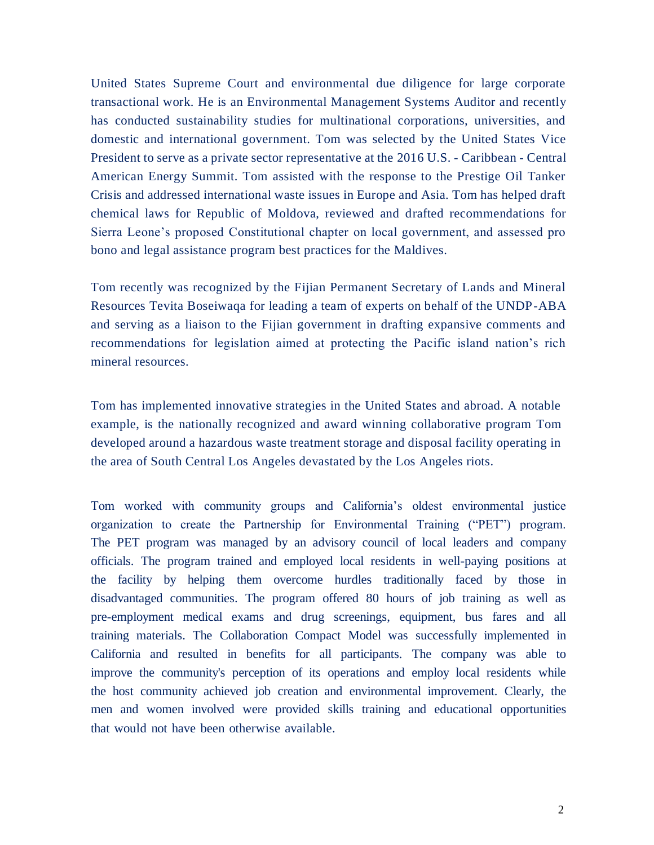United States Supreme Court and environmental due diligence for large corporate transactional work. He is an Environmental Management Systems Auditor and recently has conducted sustainability studies for multinational corporations, universities, and domestic and international government. Tom was selected by the United States Vice President to serve as a private sector representative at the 2016 U.S. - Caribbean - Central American Energy Summit. Tom assisted with the response to the Prestige Oil Tanker Crisis and addressed international waste issues in Europe and Asia. Tom has helped draft chemical laws for Republic of Moldova, reviewed and drafted recommendations for Sierra Leone's proposed Constitutional chapter on local government, and assessed pro bono and legal assistance program best practices for the Maldives.

Tom recently was recognized by the Fijian Permanent Secretary of Lands and Mineral Resources Tevita Boseiwaqa for leading a team of experts on behalf of the UNDP-ABA and serving as a liaison to the Fijian government in drafting expansive comments and recommendations for legislation aimed at protecting the Pacific island nation's rich mineral resources.

Tom has implemented innovative strategies in the United States and abroad. A notable example, is the nationally recognized and award winning collaborative program Tom developed around a hazardous waste treatment storage and disposal facility operating in the area of South Central Los Angeles devastated by the Los Angeles riots.

Tom worked with community groups and California's oldest environmental justice organization to create the Partnership for Environmental Training ("PET") program. The PET program was managed by an advisory council of local leaders and company officials. The program trained and employed local residents in well-paying positions at the facility by helping them overcome hurdles traditionally faced by those in disadvantaged communities. The program offered 80 hours of job training as well as pre-employment medical exams and drug screenings, equipment, bus fares and all training materials. The Collaboration Compact Model was successfully implemented in California and resulted in benefits for all participants. The company was able to improve the community's perception of its operations and employ local residents while the host community achieved job creation and environmental improvement. Clearly, the men and women involved were provided skills training and educational opportunities that would not have been otherwise available.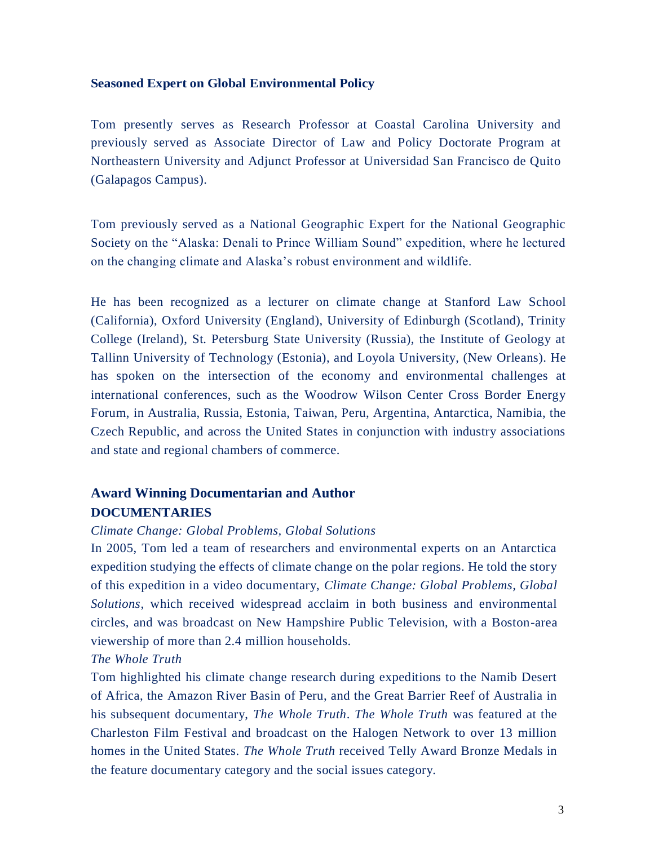#### **Seasoned Expert on Global Environmental Policy**

Tom presently serves as Research Professor at Coastal Carolina University and previously served as Associate Director of Law and Policy Doctorate Program at Northeastern University and Adjunct Professor at Universidad San Francisco de Quito (Galapagos Campus).

Tom previously served as a National Geographic Expert for the National Geographic Society on the "Alaska: Denali to Prince William Sound" expedition, where he lectured on the changing climate and Alaska's robust environment and wildlife.

He has been recognized as a lecturer on climate change at Stanford Law School (California), Oxford University (England), University of Edinburgh (Scotland), Trinity College (Ireland), St. Petersburg State University (Russia), the Institute of Geology at Tallinn University of Technology (Estonia), and Loyola University, (New Orleans). He has spoken on the intersection of the economy and environmental challenges at international conferences, such as the Woodrow Wilson Center Cross Border Energy Forum, in Australia, Russia, Estonia, Taiwan, Peru, Argentina, Antarctica, Namibia, the Czech Republic, and across the United States in conjunction with industry associations and state and regional chambers of commerce.

### **Award Winning Documentarian and Author DOCUMENTARIES**

#### *Climate Change: Global Problems, Global Solutions*

In 2005, Tom led a team of researchers and environmental experts on an Antarctica expedition studying the effects of climate change on the polar regions. He told the story of this expedition in a video documentary, *Climate Change: Global Problems, Global Solutions*, which received widespread acclaim in both business and environmental circles, and was broadcast on New Hampshire Public Television, with a Boston-area viewership of more than 2.4 million households.

### *The Whole Truth*

Tom highlighted his climate change research during expeditions to the Namib Desert of Africa, the Amazon River Basin of Peru, and the Great Barrier Reef of Australia in his subsequent documentary, *The Whole Truth*. *The Whole Truth* was featured at the Charleston Film Festival and broadcast on the Halogen Network to over 13 million homes in the United States. *The Whole Truth* received Telly Award Bronze Medals in the feature documentary category and the social issues category.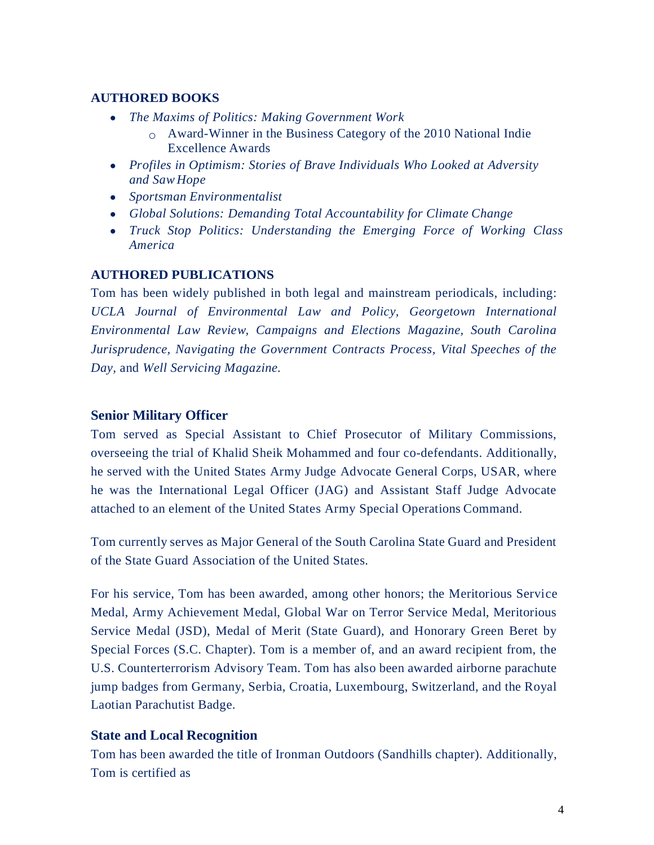### **AUTHORED BOOKS**

- *The Maxims of Politics: Making Government Work*
	- o Award-Winner in the Business Category of the 2010 National Indie Excellence Awards
- *Profiles in Optimism: Stories of Brave Individuals Who Looked at Adversity and Saw Hope*
- *Sportsman Environmentalist*
- *Global Solutions: Demanding Total Accountability for Climate Change*
- *Truck Stop Politics: Understanding the Emerging Force of Working Class America*

### **AUTHORED PUBLICATIONS**

Tom has been widely published in both legal and mainstream periodicals, including: *UCLA Journal of Environmental Law and Policy, Georgetown International Environmental Law Review, Campaigns and Elections Magazine, South Carolina Jurisprudence, Navigating the Government Contracts Process, Vital Speeches of the Day,* and *Well Servicing Magazine.*

### **Senior Military Officer**

Tom served as Special Assistant to Chief Prosecutor of Military Commissions, overseeing the trial of Khalid Sheik Mohammed and four co-defendants. Additionally, he served with the United States Army Judge Advocate General Corps, USAR, where he was the International Legal Officer (JAG) and Assistant Staff Judge Advocate attached to an element of the United States Army Special Operations Command.

Tom currently serves as Major General of the South Carolina State Guard and President of the State Guard Association of the United States.

For his service, Tom has been awarded, among other honors; the Meritorious Service Medal, Army Achievement Medal, Global War on Terror Service Medal, Meritorious Service Medal (JSD), Medal of Merit (State Guard), and Honorary Green Beret by Special Forces (S.C. Chapter). Tom is a member of, and an award recipient from, the U.S. Counterterrorism Advisory Team. Tom has also been awarded airborne parachute jump badges from Germany, Serbia, Croatia, Luxembourg, Switzerland, and the Royal Laotian Parachutist Badge.

### **State and Local Recognition**

Tom has been awarded the title of Ironman Outdoors (Sandhills chapter). Additionally, Tom is certified as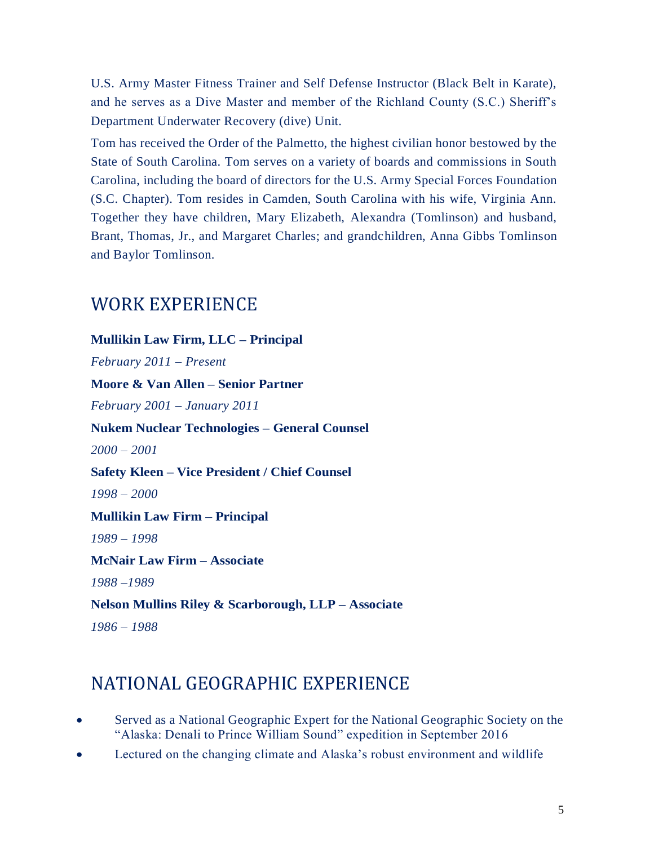U.S. Army Master Fitness Trainer and Self Defense Instructor (Black Belt in Karate), and he serves as a Dive Master and member of the Richland County (S.C.) Sheriff's Department Underwater Recovery (dive) Unit.

Tom has received the Order of the Palmetto, the highest civilian honor bestowed by the State of South Carolina. Tom serves on a variety of boards and commissions in South Carolina, including the board of directors for the U.S. Army Special Forces Foundation (S.C. Chapter). Tom resides in Camden, South Carolina with his wife, Virginia Ann. Together they have children, Mary Elizabeth, Alexandra (Tomlinson) and husband, Brant, Thomas, Jr., and Margaret Charles; and grandchildren, Anna Gibbs Tomlinson and Baylor Tomlinson.

# WORK EXPERIENCE

**Mullikin Law Firm, LLC – Principal** *February 2011 – Present* **Moore & Van Allen – Senior Partner** *February 2001 – January 2011* **Nukem Nuclear Technologies – General Counsel** *2000 – 2001* **Safety Kleen – Vice President / Chief Counsel** *1998 – 2000* **Mullikin Law Firm – Principal** *1989 – 1998* **McNair Law Firm – Associate** *1988 –1989* **Nelson Mullins Riley & Scarborough, LLP – Associate** *1986 – 1988*

# NATIONAL GEOGRAPHIC EXPERIENCE

- Served as a National Geographic Expert for the National Geographic Society on the "Alaska: Denali to Prince William Sound" expedition in September 2016
- Lectured on the changing climate and Alaska's robust environment and wildlife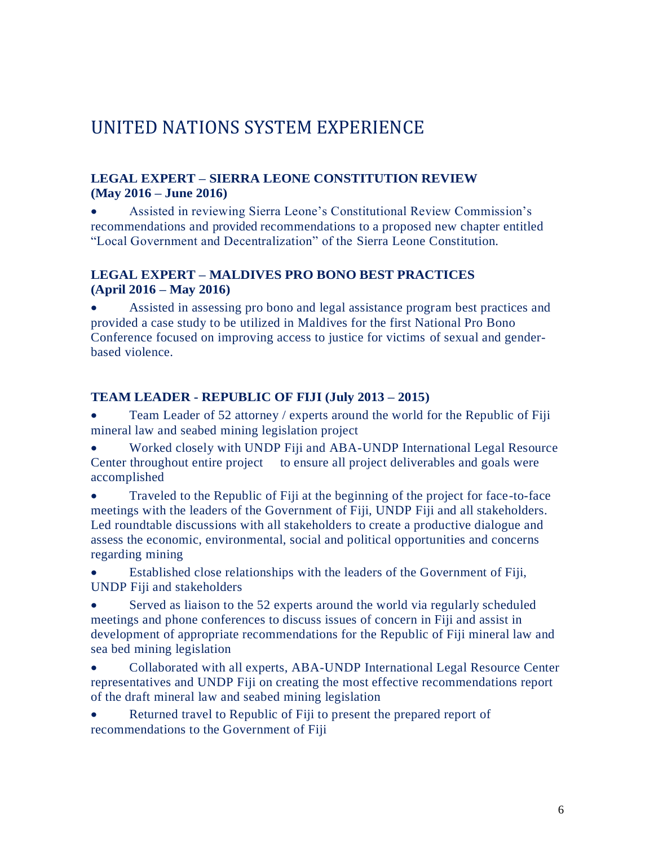# UNITED NATIONS SYSTEM EXPERIENCE

### **LEGAL EXPERT – SIERRA LEONE CONSTITUTION REVIEW (May 2016 – June 2016)**

• Assisted in reviewing Sierra Leone's Constitutional Review Commission's recommendations and provided recommendations to a proposed new chapter entitled "Local Government and Decentralization" of the Sierra Leone Constitution.

### **LEGAL EXPERT – MALDIVES PRO BONO BEST PRACTICES (April 2016 – May 2016)**

• Assisted in assessing pro bono and legal assistance program best practices and provided a case study to be utilized in Maldives for the first National Pro Bono Conference focused on improving access to justice for victims of sexual and genderbased violence.

### **TEAM LEADER - REPUBLIC OF FIJI (July 2013 – 2015)**

Team Leader of 52 attorney / experts around the world for the Republic of Fiji mineral law and seabed mining legislation project

• Worked closely with UNDP Fiji and ABA-UNDP International Legal Resource Center throughout entire project to ensure all project deliverables and goals were accomplished

• Traveled to the Republic of Fiji at the beginning of the project for face-to-face meetings with the leaders of the Government of Fiji, UNDP Fiji and all stakeholders. Led roundtable discussions with all stakeholders to create a productive dialogue and assess the economic, environmental, social and political opportunities and concerns regarding mining

• Established close relationships with the leaders of the Government of Fiji, UNDP Fiji and stakeholders

• Served as liaison to the 52 experts around the world via regularly scheduled meetings and phone conferences to discuss issues of concern in Fiji and assist in development of appropriate recommendations for the Republic of Fiji mineral law and sea bed mining legislation

• Collaborated with all experts, ABA-UNDP International Legal Resource Center representatives and UNDP Fiji on creating the most effective recommendations report of the draft mineral law and seabed mining legislation

Returned travel to Republic of Fiji to present the prepared report of recommendations to the Government of Fiji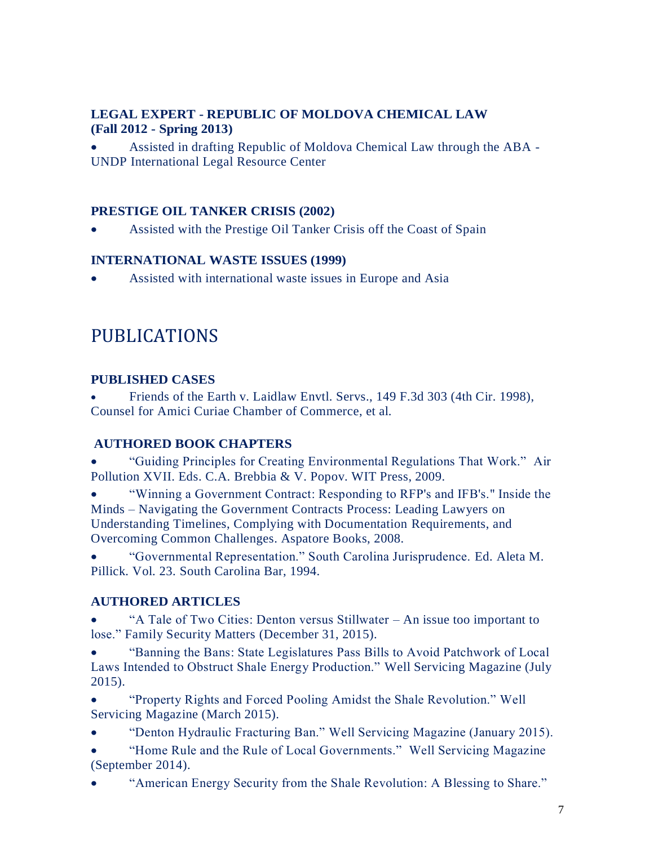### **LEGAL EXPERT - REPUBLIC OF MOLDOVA CHEMICAL LAW (Fall 2012 - Spring 2013)**

• Assisted in drafting Republic of Moldova Chemical Law through the ABA - UNDP International Legal Resource Center

### **PRESTIGE OIL TANKER CRISIS (2002)**

• Assisted with the Prestige Oil Tanker Crisis off the Coast of Spain

### **INTERNATIONAL WASTE ISSUES (1999)**

• Assisted with international waste issues in Europe and Asia

# PUBLICATIONS

### **PUBLISHED CASES**

• Friends of the Earth v. Laidlaw Envtl. Servs., 149 F.3d 303 (4th Cir. 1998), Counsel for Amici Curiae Chamber of Commerce, et al.

### **AUTHORED BOOK CHAPTERS**

• "Guiding Principles for Creating Environmental Regulations That Work." Air Pollution XVII. Eds. C.A. Brebbia & V. Popov. WIT Press, 2009.

• "Winning a Government Contract: Responding to RFP's and IFB's." Inside the Minds – Navigating the Government Contracts Process: Leading Lawyers on Understanding Timelines, Complying with Documentation Requirements, and Overcoming Common Challenges. Aspatore Books, 2008.

• "Governmental Representation." South Carolina Jurisprudence. Ed. Aleta M. Pillick. Vol. 23. South Carolina Bar, 1994.

### **AUTHORED ARTICLES**

• "A Tale of Two Cities: Denton versus Stillwater – An issue too important to lose." Family Security Matters (December 31, 2015).

• "Banning the Bans: State Legislatures Pass Bills to Avoid Patchwork of Local Laws Intended to Obstruct Shale Energy Production." Well Servicing Magazine (July 2015).

• "Property Rights and Forced Pooling Amidst the Shale Revolution." Well Servicing Magazine (March 2015).

- "Denton Hydraulic Fracturing Ban." Well Servicing Magazine (January 2015).
- "Home Rule and the Rule of Local Governments." Well Servicing Magazine (September 2014).
- "American Energy Security from the Shale Revolution: A Blessing to Share."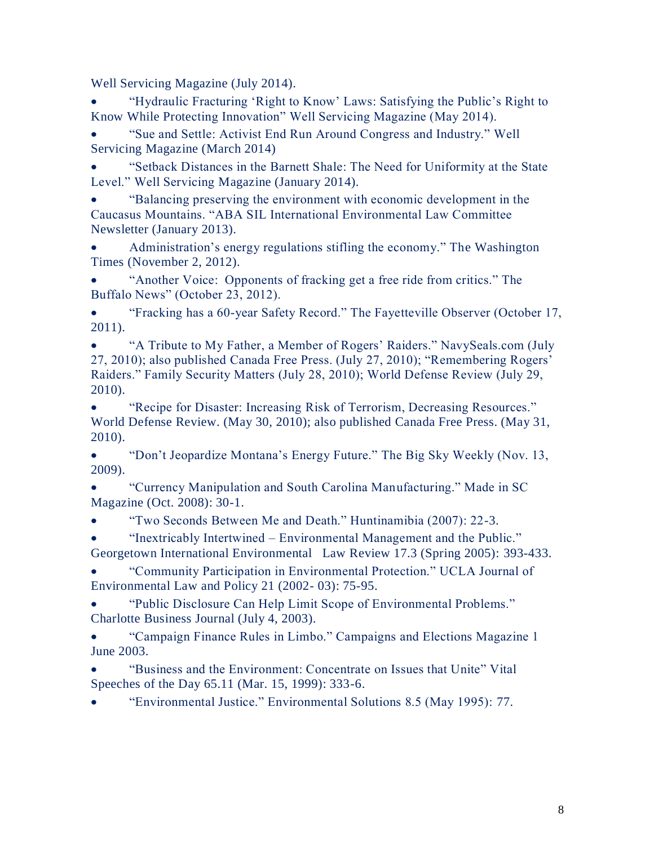Well Servicing Magazine (July 2014).

• "Hydraulic Fracturing 'Right to Know' Laws: Satisfying the Public's Right to Know While Protecting Innovation" Well Servicing Magazine (May 2014).

• "Sue and Settle: Activist End Run Around Congress and Industry." Well Servicing Magazine (March 2014)

• "Setback Distances in the Barnett Shale: The Need for Uniformity at the State Level." Well Servicing Magazine (January 2014).

• "Balancing preserving the environment with economic development in the Caucasus Mountains. "ABA SIL International Environmental Law Committee Newsletter (January 2013).

• Administration's energy regulations stifling the economy." The Washington Times (November 2, 2012).

• "Another Voice: Opponents of fracking get a free ride from critics." The Buffalo News" (October 23, 2012).

• "Fracking has a 60-year Safety Record." The Fayetteville Observer (October 17, 2011).

• "A Tribute to My Father, a Member of Rogers' Raiders." NavySeals.com (July 27, 2010); also published Canada Free Press. (July 27, 2010); "Remembering Rogers' Raiders." Family Security Matters (July 28, 2010); World Defense Review (July 29, 2010).

• "Recipe for Disaster: Increasing Risk of Terrorism, Decreasing Resources." World Defense Review. (May 30, 2010); also published Canada Free Press. (May 31, 2010).

• "Don't Jeopardize Montana's Energy Future." The Big Sky Weekly (Nov. 13, 2009).

• "Currency Manipulation and South Carolina Manufacturing." Made in SC Magazine (Oct. 2008): 30-1.

• "Two Seconds Between Me and Death." Huntinamibia (2007): 22-3.

• "Inextricably Intertwined – Environmental Management and the Public." Georgetown International Environmental Law Review 17.3 (Spring 2005): 393-433.

• "Community Participation in Environmental Protection." UCLA Journal of Environmental Law and Policy 21 (2002- 03): 75-95.

• "Public Disclosure Can Help Limit Scope of Environmental Problems." Charlotte Business Journal (July 4, 2003).

• "Campaign Finance Rules in Limbo." Campaigns and Elections Magazine 1 June 2003.

• "Business and the Environment: Concentrate on Issues that Unite" Vital Speeches of the Day 65.11 (Mar. 15, 1999): 333-6.

• "Environmental Justice." Environmental Solutions 8.5 (May 1995): 77.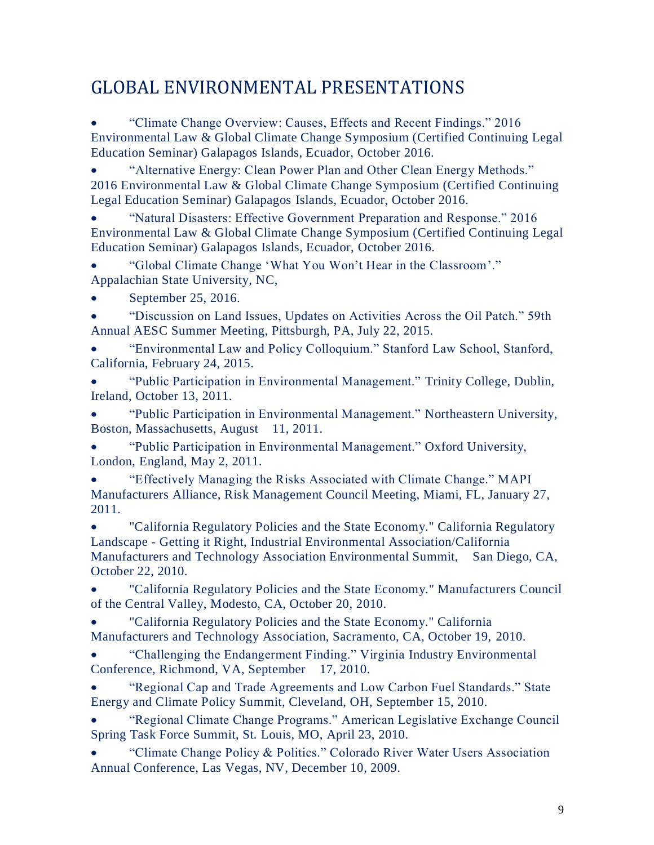# GLOBAL ENVIRONMENTAL PRESENTATIONS

• "Climate Change Overview: Causes, Effects and Recent Findings." 2016 Environmental Law & Global Climate Change Symposium (Certified Continuing Legal Education Seminar) Galapagos Islands, Ecuador, October 2016.

• "Alternative Energy: Clean Power Plan and Other Clean Energy Methods." 2016 Environmental Law & Global Climate Change Symposium (Certified Continuing Legal Education Seminar) Galapagos Islands, Ecuador, October 2016.

• "Natural Disasters: Effective Government Preparation and Response." 2016 Environmental Law & Global Climate Change Symposium (Certified Continuing Legal Education Seminar) Galapagos Islands, Ecuador, October 2016.

• "Global Climate Change 'What You Won't Hear in the Classroom'." Appalachian State University, NC,

• September 25, 2016.

• "Discussion on Land Issues, Updates on Activities Across the Oil Patch." 59th Annual AESC Summer Meeting, Pittsburgh, PA, July 22, 2015.

• "Environmental Law and Policy Colloquium." Stanford Law School, Stanford, California, February 24, 2015.

• "Public Participation in Environmental Management." Trinity College, Dublin, Ireland, October 13, 2011.

• "Public Participation in Environmental Management." Northeastern University, Boston, Massachusetts, August 11, 2011.

• "Public Participation in Environmental Management." Oxford University, London, England, May 2, 2011.

• "Effectively Managing the Risks Associated with Climate Change." MAPI Manufacturers Alliance, Risk Management Council Meeting, Miami, FL, January 27, 2011.

• "California Regulatory Policies and the State Economy." California Regulatory Landscape - Getting it Right, Industrial Environmental Association/California Manufacturers and Technology Association Environmental Summit, San Diego, CA, October 22, 2010.

• "California Regulatory Policies and the State Economy." Manufacturers Council of the Central Valley, Modesto, CA, October 20, 2010.

• "California Regulatory Policies and the State Economy." California Manufacturers and Technology Association, Sacramento, CA, October 19, 2010.

• "Challenging the Endangerment Finding." Virginia Industry Environmental Conference, Richmond, VA, September 17, 2010.

• "Regional Cap and Trade Agreements and Low Carbon Fuel Standards." State Energy and Climate Policy Summit, Cleveland, OH, September 15, 2010.

• "Regional Climate Change Programs." American Legislative Exchange Council Spring Task Force Summit, St. Louis, MO, April 23, 2010.

• "Climate Change Policy & Politics." Colorado River Water Users Association Annual Conference, Las Vegas, NV, December 10, 2009.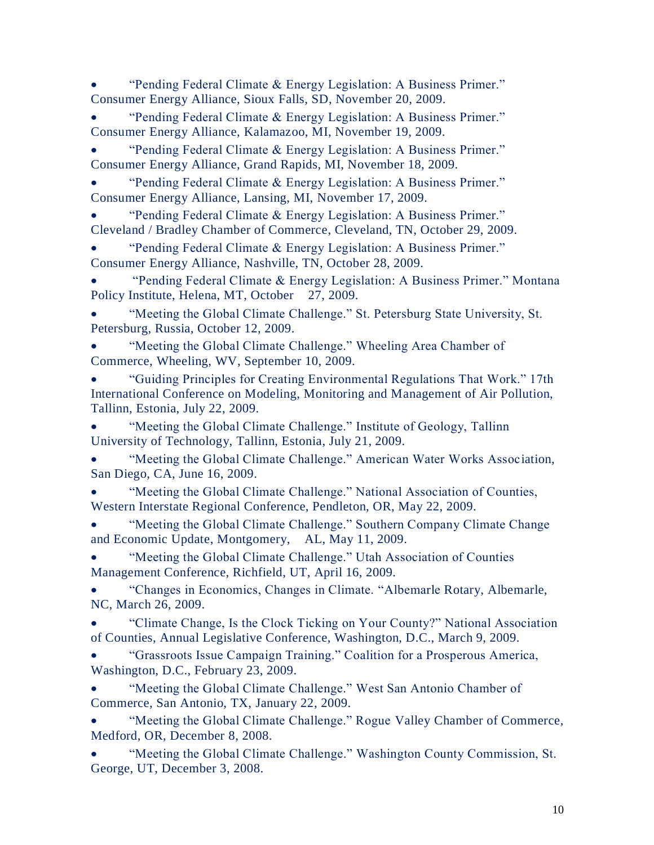• "Pending Federal Climate & Energy Legislation: A Business Primer." Consumer Energy Alliance, Sioux Falls, SD, November 20, 2009.

• "Pending Federal Climate & Energy Legislation: A Business Primer." Consumer Energy Alliance, Kalamazoo, MI, November 19, 2009.

• "Pending Federal Climate & Energy Legislation: A Business Primer." Consumer Energy Alliance, Grand Rapids, MI, November 18, 2009.

• "Pending Federal Climate & Energy Legislation: A Business Primer." Consumer Energy Alliance, Lansing, MI, November 17, 2009.

• "Pending Federal Climate & Energy Legislation: A Business Primer." Cleveland / Bradley Chamber of Commerce, Cleveland, TN, October 29, 2009.

• "Pending Federal Climate & Energy Legislation: A Business Primer." Consumer Energy Alliance, Nashville, TN, October 28, 2009.

• "Pending Federal Climate & Energy Legislation: A Business Primer." Montana Policy Institute, Helena, MT, October 27, 2009.

• "Meeting the Global Climate Challenge." St. Petersburg State University, St. Petersburg, Russia, October 12, 2009.

• "Meeting the Global Climate Challenge." Wheeling Area Chamber of Commerce, Wheeling, WV, September 10, 2009.

• "Guiding Principles for Creating Environmental Regulations That Work." 17th International Conference on Modeling, Monitoring and Management of Air Pollution, Tallinn, Estonia, July 22, 2009.

• "Meeting the Global Climate Challenge." Institute of Geology, Tallinn University of Technology, Tallinn, Estonia, July 21, 2009.

• "Meeting the Global Climate Challenge." American Water Works Association, San Diego, CA, June 16, 2009.

• "Meeting the Global Climate Challenge." National Association of Counties, Western Interstate Regional Conference, Pendleton, OR, May 22, 2009.

• "Meeting the Global Climate Challenge." Southern Company Climate Change and Economic Update, Montgomery, AL, May 11, 2009.

• "Meeting the Global Climate Challenge." Utah Association of Counties Management Conference, Richfield, UT, April 16, 2009.

• "Changes in Economics, Changes in Climate. "Albemarle Rotary, Albemarle, NC, March 26, 2009.

• "Climate Change, Is the Clock Ticking on Your County?" National Association of Counties, Annual Legislative Conference, Washington, D.C., March 9, 2009.

• "Grassroots Issue Campaign Training." Coalition for a Prosperous America, Washington, D.C., February 23, 2009.

• "Meeting the Global Climate Challenge." West San Antonio Chamber of Commerce, San Antonio, TX, January 22, 2009.

• "Meeting the Global Climate Challenge." Rogue Valley Chamber of Commerce, Medford, OR, December 8, 2008.

• "Meeting the Global Climate Challenge." Washington County Commission, St. George, UT, December 3, 2008.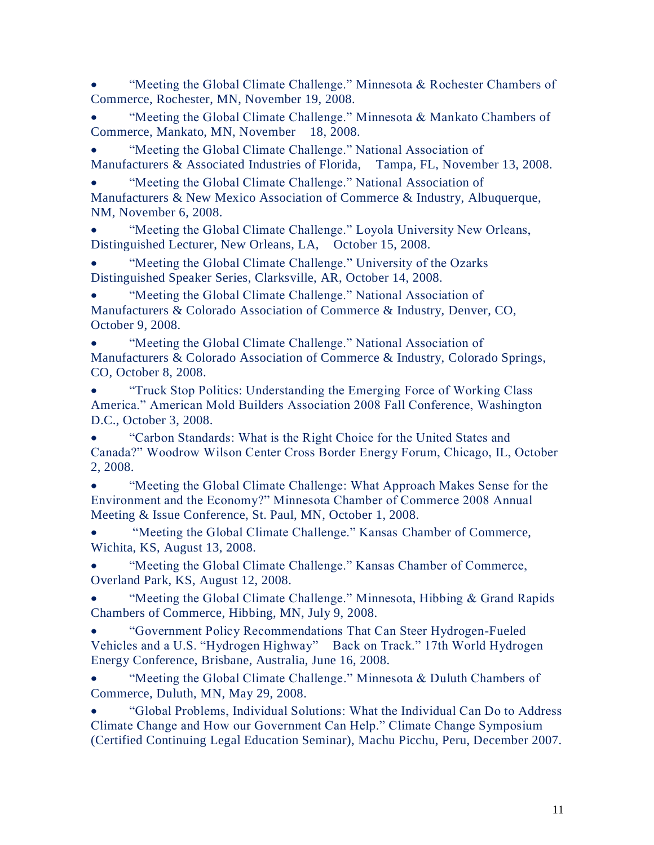• "Meeting the Global Climate Challenge." Minnesota & Rochester Chambers of Commerce, Rochester, MN, November 19, 2008.

"Meeting the Global Climate Challenge." Minnesota & Mankato Chambers of Commerce, Mankato, MN, November 18, 2008.

• "Meeting the Global Climate Challenge." National Association of Manufacturers & Associated Industries of Florida, Tampa, FL, November 13, 2008.

• "Meeting the Global Climate Challenge." National Association of Manufacturers & New Mexico Association of Commerce & Industry, Albuquerque, NM, November 6, 2008.

• "Meeting the Global Climate Challenge." Loyola University New Orleans, Distinguished Lecturer, New Orleans, LA, October 15, 2008.

• "Meeting the Global Climate Challenge." University of the Ozarks Distinguished Speaker Series, Clarksville, AR, October 14, 2008.

• "Meeting the Global Climate Challenge." National Association of Manufacturers & Colorado Association of Commerce & Industry, Denver, CO, October 9, 2008.

• "Meeting the Global Climate Challenge." National Association of Manufacturers & Colorado Association of Commerce & Industry, Colorado Springs, CO, October 8, 2008.

• "Truck Stop Politics: Understanding the Emerging Force of Working Class America." American Mold Builders Association 2008 Fall Conference, Washington D.C., October 3, 2008.

• "Carbon Standards: What is the Right Choice for the United States and Canada?" Woodrow Wilson Center Cross Border Energy Forum, Chicago, IL, October 2, 2008.

• "Meeting the Global Climate Challenge: What Approach Makes Sense for the Environment and the Economy?" Minnesota Chamber of Commerce 2008 Annual Meeting & Issue Conference, St. Paul, MN, October 1, 2008.

• "Meeting the Global Climate Challenge." Kansas Chamber of Commerce, Wichita, KS, August 13, 2008.

• "Meeting the Global Climate Challenge." Kansas Chamber of Commerce, Overland Park, KS, August 12, 2008.

• "Meeting the Global Climate Challenge." Minnesota, Hibbing & Grand Rapids Chambers of Commerce, Hibbing, MN, July 9, 2008.

• "Government Policy Recommendations That Can Steer Hydrogen-Fueled Vehicles and a U.S. "Hydrogen Highway" Back on Track." 17th World Hydrogen Energy Conference, Brisbane, Australia, June 16, 2008.

"Meeting the Global Climate Challenge." Minnesota & Duluth Chambers of Commerce, Duluth, MN, May 29, 2008.

• "Global Problems, Individual Solutions: What the Individual Can Do to Address Climate Change and How our Government Can Help." Climate Change Symposium (Certified Continuing Legal Education Seminar), Machu Picchu, Peru, December 2007.